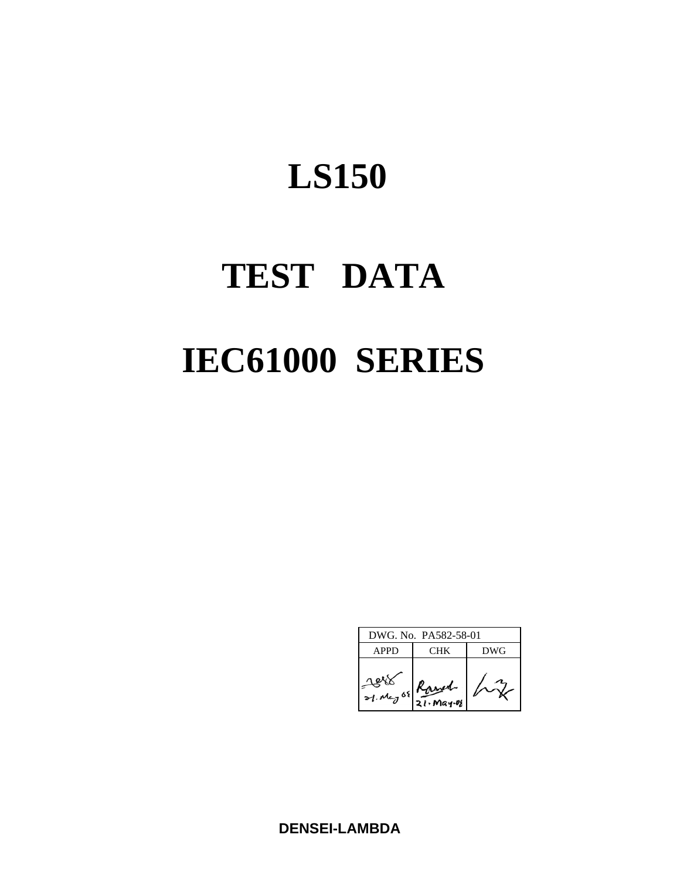# **TEST DATA IEC61000 SERIES**

| DWG, No. PA582-58-01 |        |     |  |  |  |  |
|----------------------|--------|-----|--|--|--|--|
| <b>APPD</b>          | CHK    | DWG |  |  |  |  |
| 21. May 08 Ranger    | 21.298 |     |  |  |  |  |

**DENSEI-LAMBDA**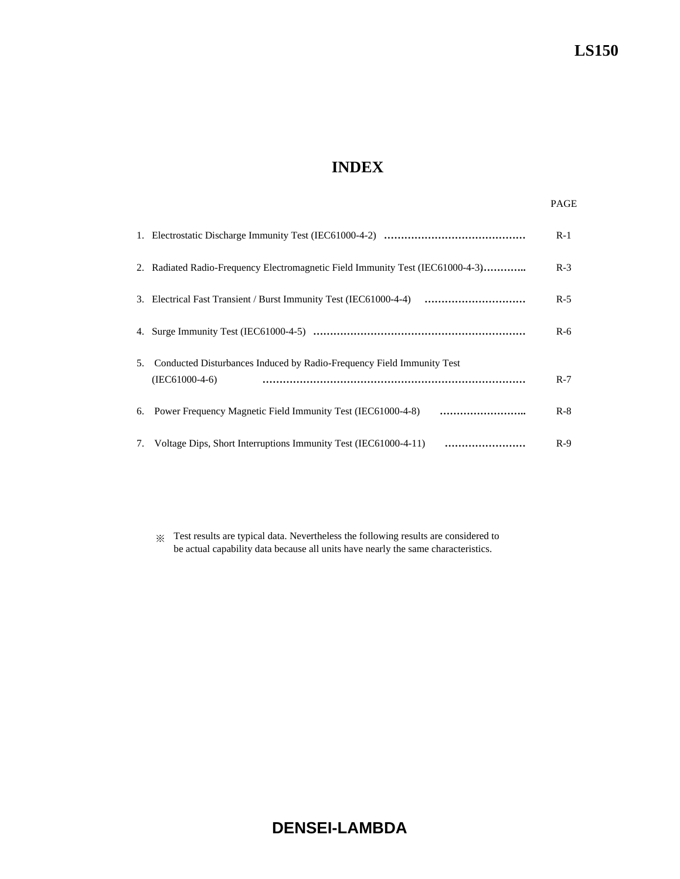# **INDEX**

|    |                                                                                           | $R-1$ |
|----|-------------------------------------------------------------------------------------------|-------|
|    | 2. Radiated Radio-Frequency Electromagnetic Field Immunity Test (IEC61000-4-3)            | $R-3$ |
|    |                                                                                           | $R-5$ |
|    |                                                                                           | $R-6$ |
| 5. | Conducted Disturbances Induced by Radio-Frequency Field Immunity Test<br>$(IEC61000-4-6)$ | $R-7$ |
|    |                                                                                           | $R-8$ |
|    | 7. Voltage Dips, Short Interruptions Immunity Test (IEC61000-4-11)                        | $R-9$ |

※ Test results are typical data. Nevertheless the following results are considered to be actual capability data because all units have nearly the same characteristics.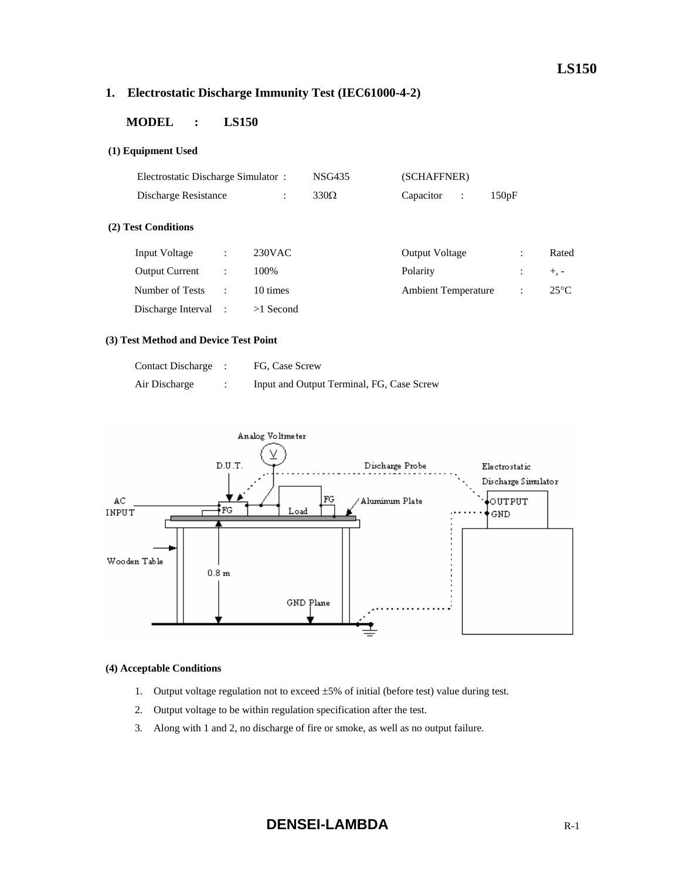# **1. Electrostatic Discharge Immunity Test (IEC61000-4-2)**

# **MODEL : LS150**

# **(1) Equipment Used**

| Electrostatic Discharge Simulator: |                      |             | <b>NSG435</b> | (SCHAFFNER)                 |                |                |  |  |
|------------------------------------|----------------------|-------------|---------------|-----------------------------|----------------|----------------|--|--|
| Discharge Resistance               |                      | ÷           | $330\Omega$   | Capacitor<br>$\ddot{\cdot}$ | 150pF          |                |  |  |
| (2) Test Conditions                |                      |             |               |                             |                |                |  |  |
| Input Voltage                      | ÷                    | $230$ VAC   |               | <b>Output Voltage</b>       | ÷              | Rated          |  |  |
| <b>Output Current</b>              | $\ddot{\phantom{a}}$ | 100%        |               | Polarity                    | $\ddot{\cdot}$ | $+$ , -        |  |  |
| Number of Tests                    | $\ddot{\phantom{a}}$ | 10 times    |               | <b>Ambient Temperature</b>  | $\ddot{\cdot}$ | $25^{\circ}$ C |  |  |
| Discharge Interval                 |                      | $>1$ Second |               |                             |                |                |  |  |

# **(3) Test Method and Device Test Point**

| <b>Contact Discharge</b> | FG, Case Screw                            |
|--------------------------|-------------------------------------------|
| Air Discharge            | Input and Output Terminal, FG, Case Screw |



# **(4) Acceptable Conditions**

- 1. Output voltage regulation not to exceed  $\pm 5\%$  of initial (before test) value during test.
- 2. Output voltage to be within regulation specification after the test.
- 3. Along with 1 and 2, no discharge of fire or smoke, as well as no output failure.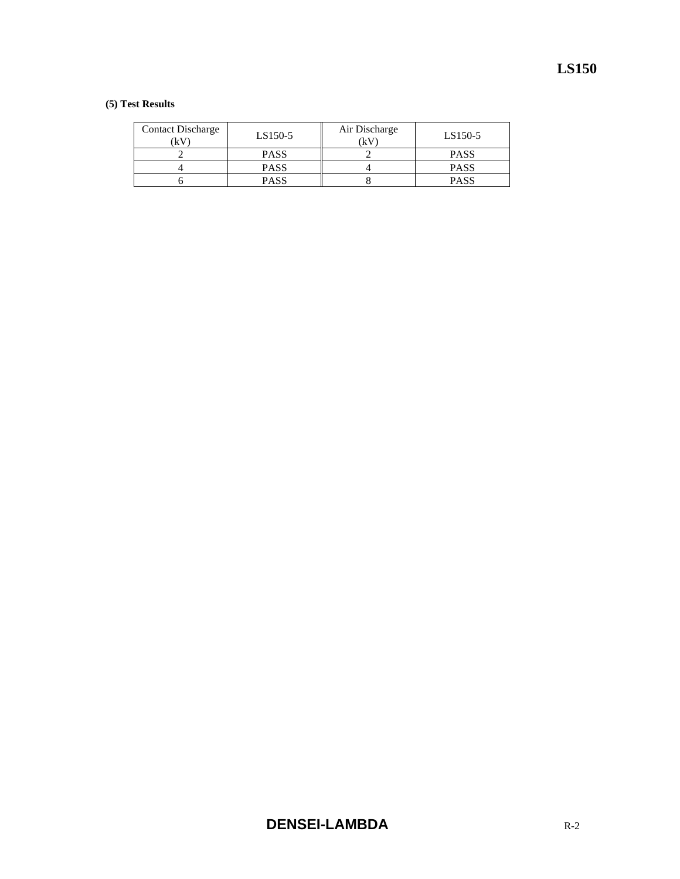# **(5) Test Results**

| <b>Contact Discharge</b><br>(kV | LS150-5     | Air Discharge<br>(kV) | LS150-5     |
|---------------------------------|-------------|-----------------------|-------------|
|                                 | <b>PASS</b> |                       | <b>PASS</b> |
|                                 | <b>PASS</b> |                       | <b>PASS</b> |
|                                 | <b>PASS</b> |                       | <b>PASS</b> |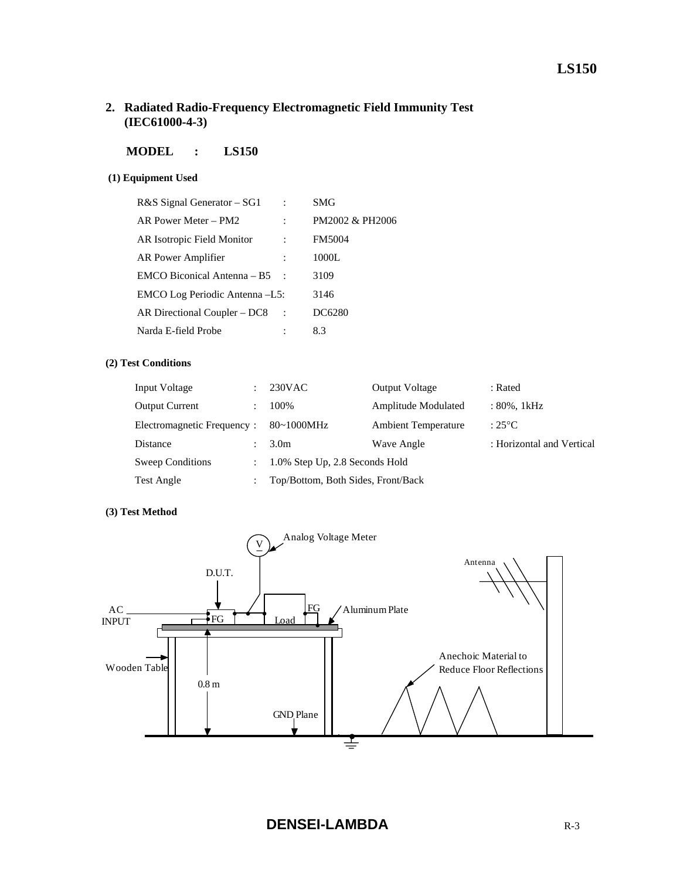# **2. Radiated Radio-Frequency Electromagnetic Field Immunity Test (IEC61000-4-3)**

# **MODEL : LS150**

# **(1) Equipment Used**

| R&S Signal Generator – SG1     | SMG             |
|--------------------------------|-----------------|
| AR Power Meter – PM2           | PM2002 & PH2006 |
| AR Isotropic Field Monitor     | <b>FM5004</b>   |
| AR Power Amplifier             | 1000L           |
| EMCO Biconical Antenna – B5    | 3109            |
| EMCO Log Periodic Antenna -L5: | 3146            |
| AR Directional Coupler – DC8   | DC6280          |
| Narda E-field Probe            | 8.3             |

# **(2) Test Conditions**

| Input Voltage              | $230$ VAC                          | <b>Output Voltage</b>      | : Rated                   |
|----------------------------|------------------------------------|----------------------------|---------------------------|
| <b>Output Current</b>      | 100%                               | Amplitude Modulated        | : 80%, 1kHz               |
| Electromagnetic Frequency: | $80~1000$ MHz                      | <b>Ambient Temperature</b> | : $25^{\circ}$ C          |
| Distance                   | 3.0 <sub>m</sub>                   | Wave Angle                 | : Horizontal and Vertical |
| Sweep Conditions           | 1.0% Step Up, 2.8 Seconds Hold     |                            |                           |
| Test Angle                 | Top/Bottom, Both Sides, Front/Back |                            |                           |

# **(3) Test Method**

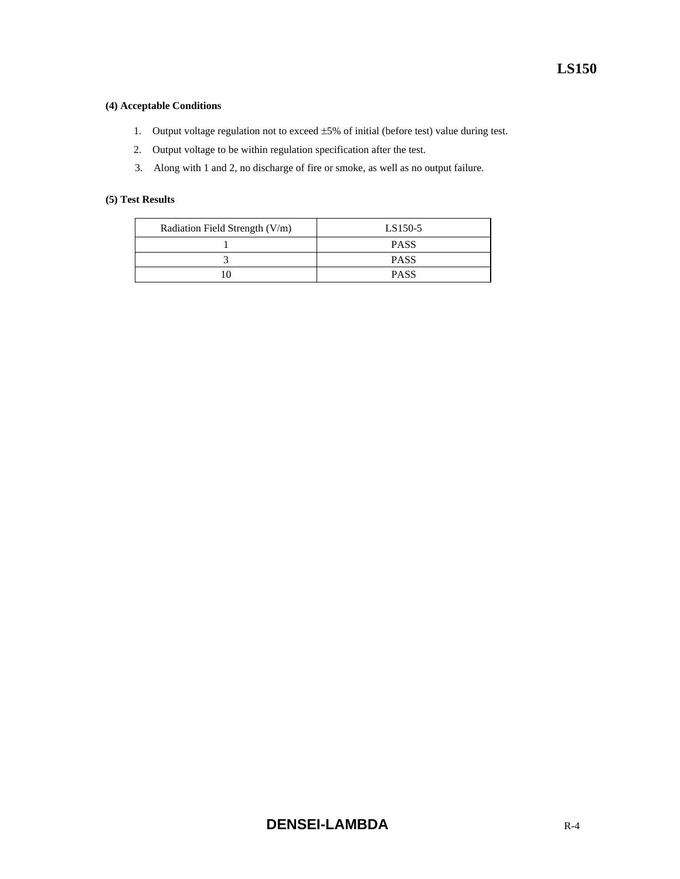# **(4) Acceptable Conditions**

- 1. Output voltage regulation not to exceed ±5% of initial (before test) value during test.
- 2. Output voltage to be within regulation specification after the test.
- 3. Along with 1 and 2, no discharge of fire or smoke, as well as no output failure.

# **(5) Test Results**

| Radiation Field Strength (V/m) | LS150-5     |
|--------------------------------|-------------|
|                                | <b>PASS</b> |
|                                | <b>PASS</b> |
|                                | <b>PASS</b> |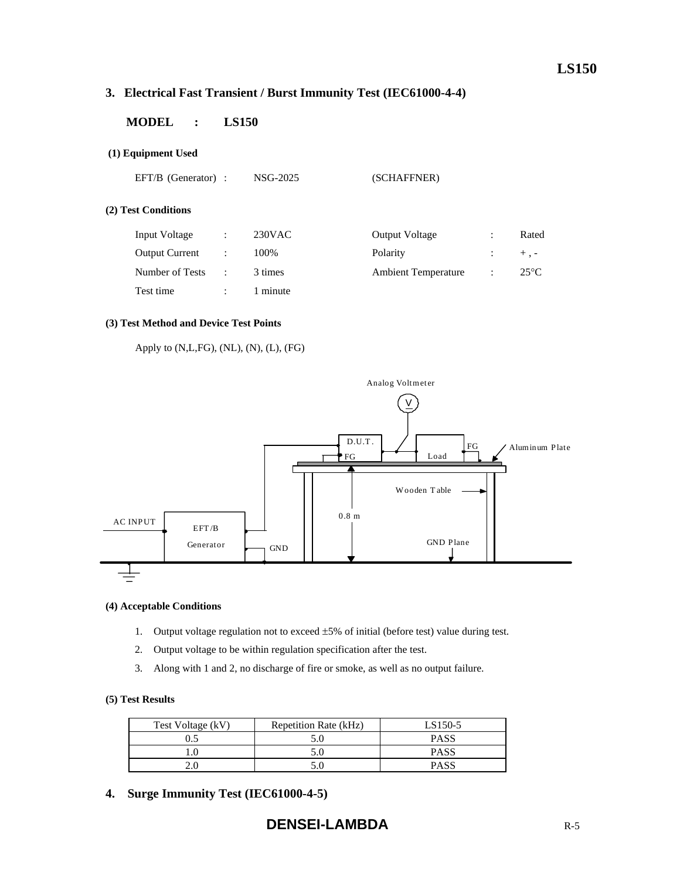# **3. Electrical Fast Transient / Burst Immunity Test (IEC61000-4-4)**

# **MODEL : LS150**

# **(1) Equipment Used**

EFT/B (Generator) : NSG-2025 (SCHAFFNER)

# **(2) Test Conditions**

| <b>Input Voltage</b>  | ÷ | $230$ VAC | <b>Output Voltage</b>      |                      | Rated         |
|-----------------------|---|-----------|----------------------------|----------------------|---------------|
| <b>Output Current</b> |   | 100%      | Polarity                   |                      | $+$ . $-$     |
| Number of Tests       |   | 3 times   | <b>Ambient Temperature</b> | $\ddot{\phantom{1}}$ | $25^{\circ}C$ |
| Test time             |   | l minute  |                            |                      |               |

# **(3) Test Method and Device Test Points**

```
 Apply to (N,L,FG), (NL), (N), (L), (FG)
```


#### **(4) Acceptable Conditions**

- 1. Output voltage regulation not to exceed ±5% of initial (before test) value during test.
- 2. Output voltage to be within regulation specification after the test.
- 3. Along with 1 and 2, no discharge of fire or smoke, as well as no output failure.

#### **(5) Test Results**

| Test Voltage (kV) | Repetition Rate (kHz) | LS150-5     |
|-------------------|-----------------------|-------------|
|                   |                       | <b>PASS</b> |
|                   |                       | PASS        |
|                   |                       | PASS        |

**4. Surge Immunity Test (IEC61000-4-5)**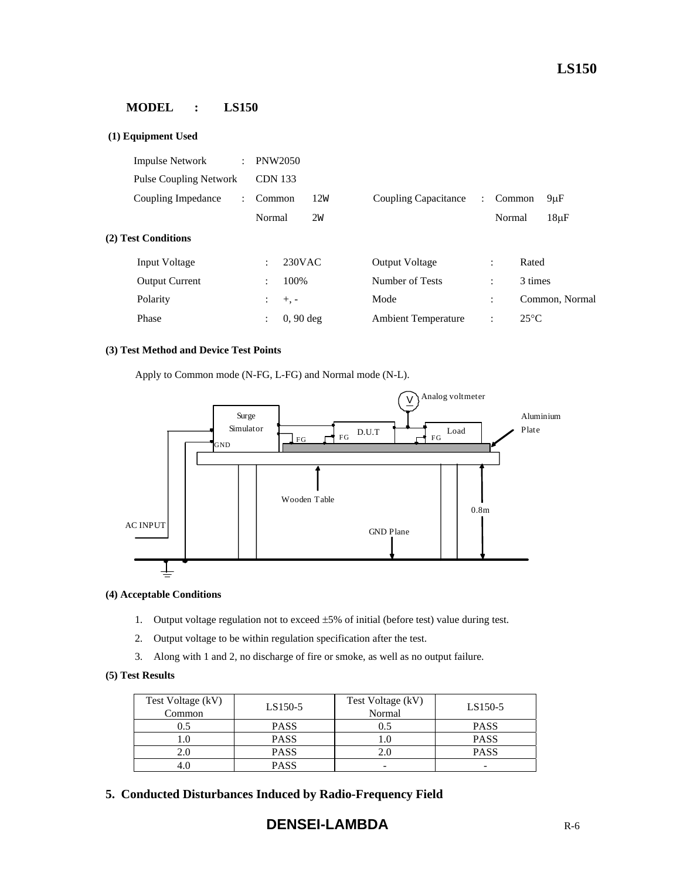# **MODEL : LS150**

| (1) Equipment Used            |                           |                               |     |                            |                      |                |                |
|-------------------------------|---------------------------|-------------------------------|-----|----------------------------|----------------------|----------------|----------------|
| <b>Impulse Network</b>        | $\mathbb{R}^{\mathbb{Z}}$ | <b>PNW2050</b>                |     |                            |                      |                |                |
| <b>Pulse Coupling Network</b> |                           | <b>CDN</b> 133                |     |                            |                      |                |                |
| Coupling Impedance            |                           | Common                        | 12W | Coupling Capacitance       | $\ddot{\phantom{a}}$ | Common         | $9 \mu F$      |
|                               |                           | Normal                        | 2w  |                            |                      | Normal         | $18\mu F$      |
| (2) Test Conditions           |                           |                               |     |                            |                      |                |                |
| <b>Input Voltage</b>          |                           | 230VAC<br>÷                   |     | <b>Output Voltage</b>      |                      | $\ddot{\cdot}$ | Rated          |
| <b>Output Current</b>         |                           | 100%<br>$\ddot{\cdot}$        |     | Number of Tests            |                      | $\ddot{\cdot}$ | 3 times        |
| Polarity                      |                           | $+$ , $-$<br>$\ddot{\cdot}$   |     | Mode                       |                      | $\ddot{\cdot}$ | Common, Normal |
| Phase                         |                           | $0, 90$ deg<br>$\ddot{\cdot}$ |     | <b>Ambient Temperature</b> |                      | $\ddot{\cdot}$ | $25^{\circ}$ C |

#### **(3) Test Method and Device Test Points**

Apply to Common mode (N-FG, L-FG) and Normal mode (N-L).



#### **(4) Acceptable Conditions**

- 1. Output voltage regulation not to exceed  $\pm 5\%$  of initial (before test) value during test.
- 2. Output voltage to be within regulation specification after the test.
- 3. Along with 1 and 2, no discharge of fire or smoke, as well as no output failure.

#### **(5) Test Results**

| Test Voltage (kV)<br>Common | $LS150-5$   | Test Voltage (kV)<br>Normal | LS150-5     |
|-----------------------------|-------------|-----------------------------|-------------|
|                             | <b>PASS</b> | 0.5                         | <b>PASS</b> |
|                             | <b>PASS</b> | LO.                         | <b>PASS</b> |
|                             | <b>PASS</b> | 2.0                         | <b>PASS</b> |
|                             | <b>PASS</b> | -                           | -           |

**5. Conducted Disturbances Induced by Radio-Frequency Field**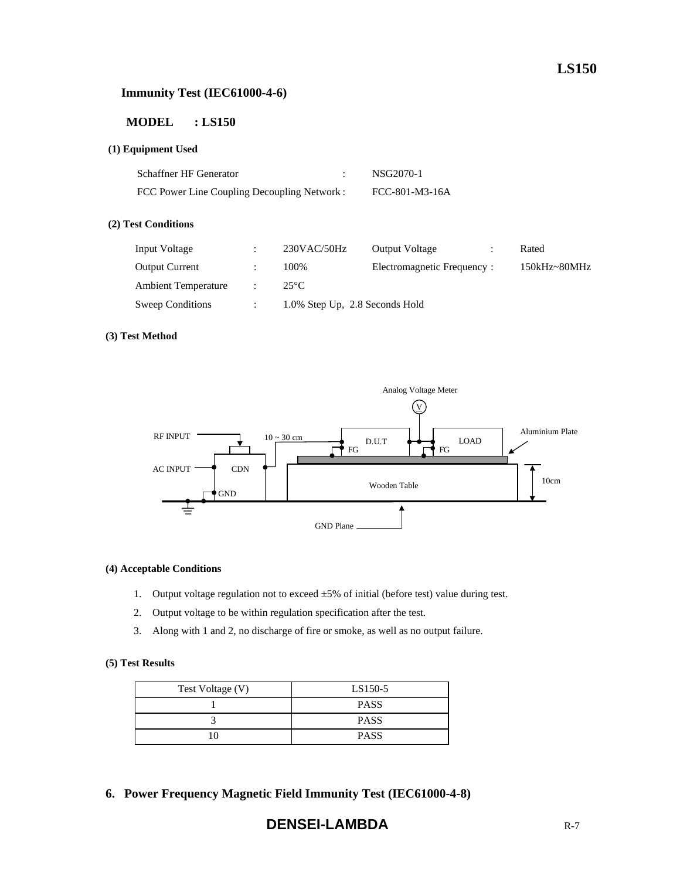# **Immunity Test (IEC61000-4-6)**

# **MODEL : LS150**

# **(1) Equipment Used**

| <b>Schaffner HF Generator</b>               | NSG2070-1      |
|---------------------------------------------|----------------|
| FCC Power Line Coupling Decoupling Network: | FCC-801-M3-16A |

### **(2) Test Conditions**

| Input Voltage              | $230$ VAC/50Hz                 | <b>Output Voltage</b>      | Rated        |
|----------------------------|--------------------------------|----------------------------|--------------|
| <b>Output Current</b>      | 100%                           | Electromagnetic Frequency: | 150kHz~80MHz |
| <b>Ambient Temperature</b> | $25^{\circ}$ C                 |                            |              |
| Sweep Conditions           | 1.0% Step Up, 2.8 Seconds Hold |                            |              |
|                            |                                |                            |              |

# **(3) Test Method**



## **(4) Acceptable Conditions**

- 1. Output voltage regulation not to exceed ±5% of initial (before test) value during test.
- 2. Output voltage to be within regulation specification after the test.
- 3. Along with 1 and 2, no discharge of fire or smoke, as well as no output failure.

# **(5) Test Results**

| Test Voltage (V) | LS150-5     |
|------------------|-------------|
|                  | <b>PASS</b> |
|                  | <b>PASS</b> |
| 10               | <b>PASS</b> |

**6. Power Frequency Magnetic Field Immunity Test (IEC61000-4-8)** 

# **DENSEI-LAMBDA** R-7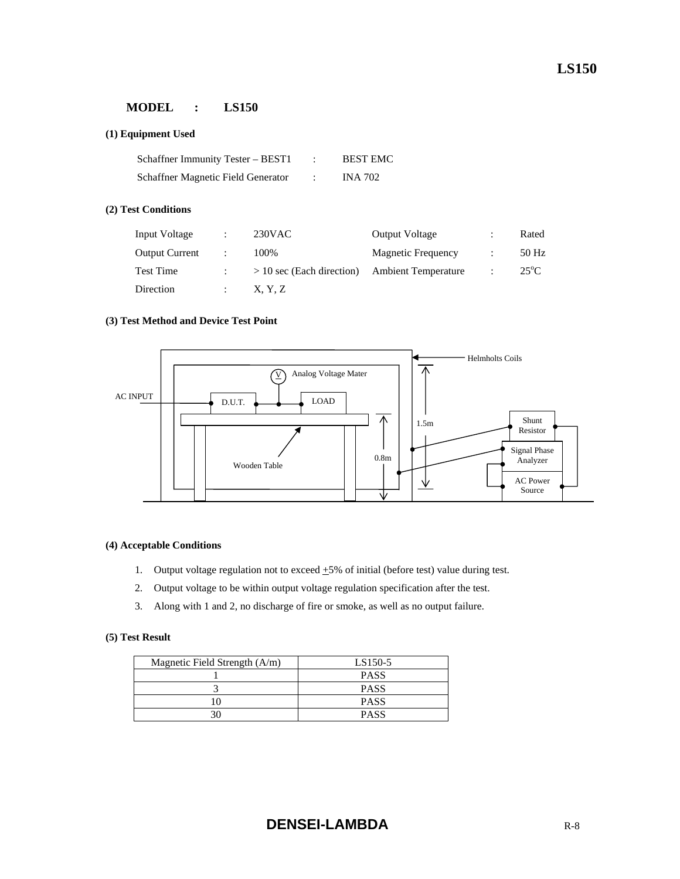# **MODEL : LS150**

# **(1) Equipment Used**

| Schaffner Immunity Tester – BEST1  | <b>BEST EMC</b> |
|------------------------------------|-----------------|
| Schaffner Magnetic Field Generator | INA 702         |

# **(2) Test Conditions**

| Input Voltage         | $230$ VAC                   | <b>Output Voltage</b>      | Rated          |
|-----------------------|-----------------------------|----------------------------|----------------|
| <b>Output Current</b> | 100%                        | <b>Magnetic Frequency</b>  | 50 Hz          |
| Test Time             | $> 10$ sec (Each direction) | <b>Ambient Temperature</b> | $25^{\circ}$ C |
| Direction             | X, Y, Z                     |                            |                |

## **(3) Test Method and Device Test Point**



#### **(4) Acceptable Conditions**

- 1. Output voltage regulation not to exceed  $\pm 5\%$  of initial (before test) value during test.
- 2. Output voltage to be within output voltage regulation specification after the test.
- 3. Along with 1 and 2, no discharge of fire or smoke, as well as no output failure.

# **(5) Test Result**

| Magnetic Field Strength $(A/m)$ | LS150-5     |
|---------------------------------|-------------|
|                                 | <b>PASS</b> |
|                                 | <b>PASS</b> |
|                                 | <b>PASS</b> |
|                                 | <b>PASS</b> |